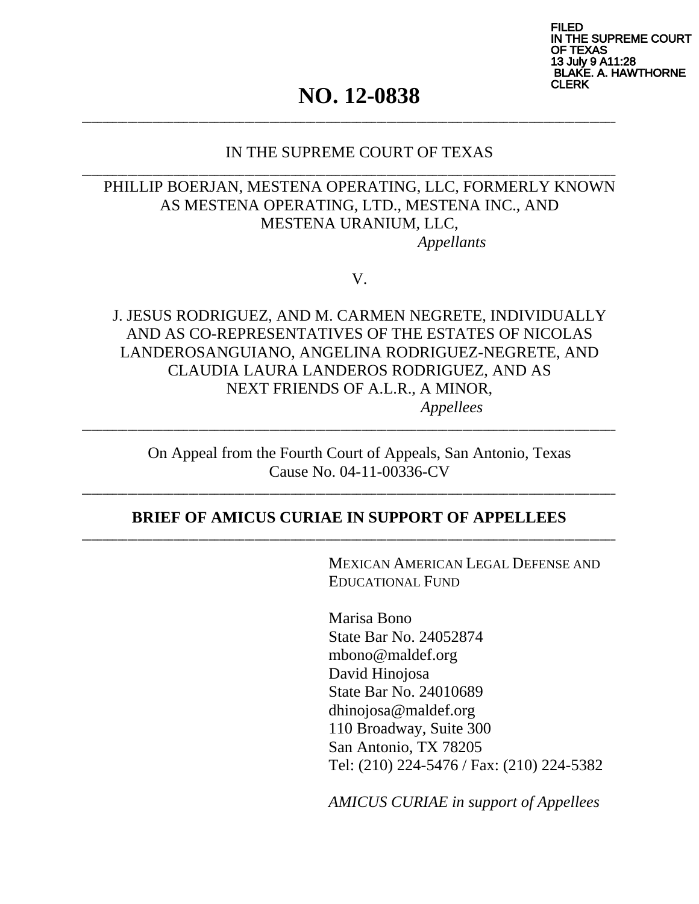FILED I THE SUPREME COURT EXAS July 9 A11:28 **KE. A. HAWTHORNE** CLERK

# **NO. 12-0838**

\_\_\_\_\_\_\_\_\_\_\_\_\_\_\_\_\_\_\_\_\_\_\_\_\_\_\_\_\_\_\_\_\_\_\_\_\_\_\_\_\_\_\_\_\_\_\_\_\_\_\_\_\_\_\_\_\_\_\_\_\_\_\_\_\_\_\_\_\_\_\_\_\_\_\_\_\_\_\_\_\_\_\_\_\_\_\_\_\_\_\_\_\_\_\_\_\_\_\_\_\_\_\_\_\_

\_\_\_\_\_\_\_\_\_\_\_\_\_\_\_\_\_\_\_\_\_\_\_\_\_\_\_\_\_\_\_\_\_\_\_\_\_\_\_\_\_\_\_\_\_\_\_\_\_\_\_\_\_\_\_\_\_\_\_\_\_\_\_\_\_\_\_\_\_\_\_\_\_\_\_\_\_\_\_\_\_\_\_\_\_\_\_\_\_\_\_\_\_\_\_\_\_\_\_\_\_\_\_\_\_

### IN THE SUPREME COURT OF TEXAS

### PHILLIP BOERJAN, MESTENA OPERATING, LLC, FORMERLY KNOWN AS MESTENA OPERATING, LTD., MESTENA INC., AND MESTENA URANIUM, LLC, *Appellants*

V.

J. JESUS RODRIGUEZ, AND M. CARMEN NEGRETE, INDIVIDUALLY AND AS CO-REPRESENTATIVES OF THE ESTATES OF NICOLAS LANDEROSANGUIANO, ANGELINA RODRIGUEZ-NEGRETE, AND CLAUDIA LAURA LANDEROS RODRIGUEZ, AND AS NEXT FRIENDS OF A.L.R., A MINOR, *Appellees* 

On Appeal from the Fourth Court of Appeals, San Antonio, Texas Cause No. 04-11-00336-CV

\_\_\_\_\_\_\_\_\_\_\_\_\_\_\_\_\_\_\_\_\_\_\_\_\_\_\_\_\_\_\_\_\_\_\_\_\_\_\_\_\_\_\_\_\_\_\_\_\_\_\_\_\_\_\_\_\_\_\_\_\_\_\_\_\_\_\_\_\_\_\_\_\_\_\_\_\_\_\_\_\_\_\_\_\_\_\_\_\_\_\_\_\_\_\_\_\_\_\_\_\_\_\_\_\_

#### **BRIEF OF AMICUS CURIAE IN SUPPORT OF APPELLEES**  \_\_\_\_\_\_\_\_\_\_\_\_\_\_\_\_\_\_\_\_\_\_\_\_\_\_\_\_\_\_\_\_\_\_\_\_\_\_\_\_\_\_\_\_\_\_\_\_\_\_\_\_\_\_\_\_\_\_\_\_\_\_\_\_\_\_\_\_\_\_\_\_\_\_\_\_\_\_\_\_\_\_\_\_\_\_\_\_\_\_\_\_\_\_\_\_\_\_\_\_\_\_\_\_\_

\_\_\_\_\_\_\_\_\_\_\_\_\_\_\_\_\_\_\_\_\_\_\_\_\_\_\_\_\_\_\_\_\_\_\_\_\_\_\_\_\_\_\_\_\_\_\_\_\_\_\_\_\_\_\_\_\_\_\_\_\_\_\_\_\_\_\_\_\_\_\_\_\_\_\_\_\_\_\_\_\_\_\_\_\_\_\_\_\_\_\_\_\_\_\_\_\_\_\_\_\_\_\_\_\_

MEXICAN AMERICAN LEGAL DEFENSE AND EDUCATIONAL FUND

Marisa Bono State Bar No. 24052874 mbono@maldef.org David Hinojosa State Bar No. 24010689 dhinojosa@maldef.org 110 Broadway, Suite 300 San Antonio, TX 78205 Tel: (210) 224-5476 / Fax: (210) 224-5382

*AMICUS CURIAE in support of Appellees*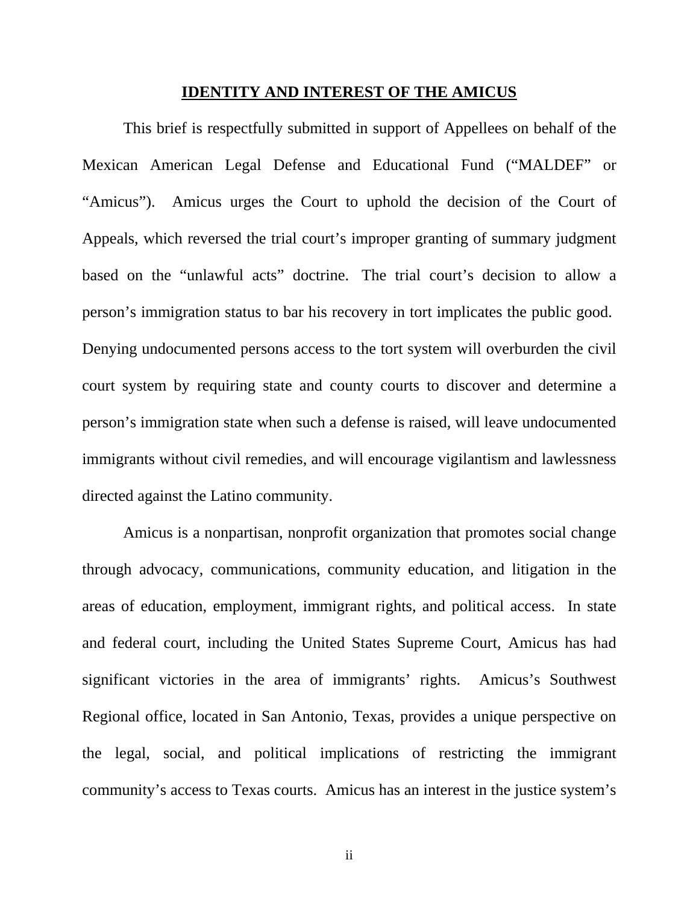#### **IDENTITY AND INTEREST OF THE AMICUS**

This brief is respectfully submitted in support of Appellees on behalf of the Mexican American Legal Defense and Educational Fund ("MALDEF" or "Amicus"). Amicus urges the Court to uphold the decision of the Court of Appeals, which reversed the trial court's improper granting of summary judgment based on the "unlawful acts" doctrine. The trial court's decision to allow a person's immigration status to bar his recovery in tort implicates the public good. Denying undocumented persons access to the tort system will overburden the civil court system by requiring state and county courts to discover and determine a person's immigration state when such a defense is raised, will leave undocumented immigrants without civil remedies, and will encourage vigilantism and lawlessness directed against the Latino community.

 Amicus is a nonpartisan, nonprofit organization that promotes social change through advocacy, communications, community education, and litigation in the areas of education, employment, immigrant rights, and political access. In state and federal court, including the United States Supreme Court, Amicus has had significant victories in the area of immigrants' rights. Amicus's Southwest Regional office, located in San Antonio, Texas, provides a unique perspective on the legal, social, and political implications of restricting the immigrant community's access to Texas courts. Amicus has an interest in the justice system's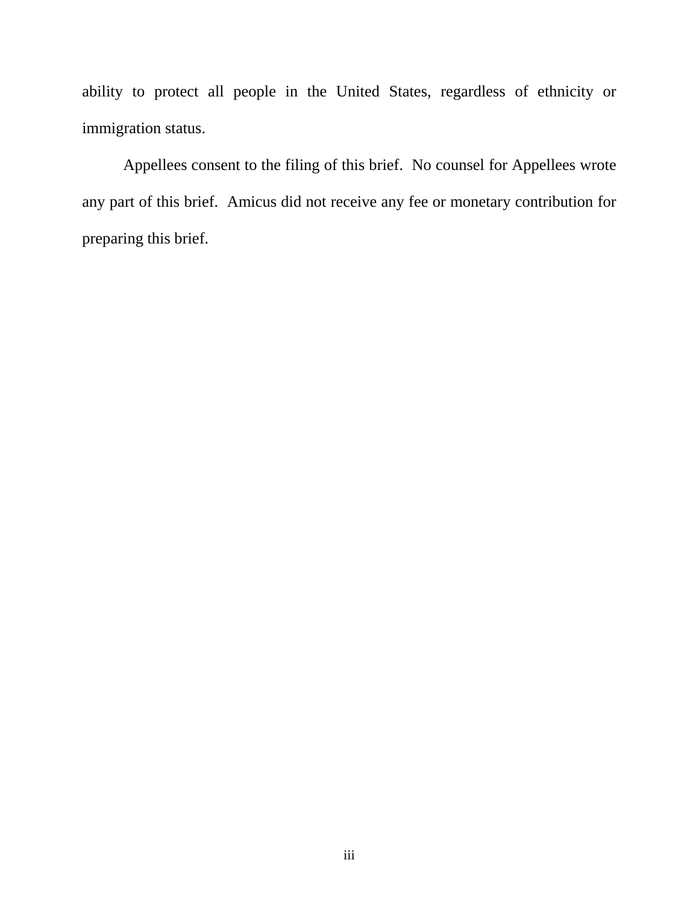ability to protect all people in the United States, regardless of ethnicity or immigration status.

Appellees consent to the filing of this brief. No counsel for Appellees wrote any part of this brief. Amicus did not receive any fee or monetary contribution for preparing this brief.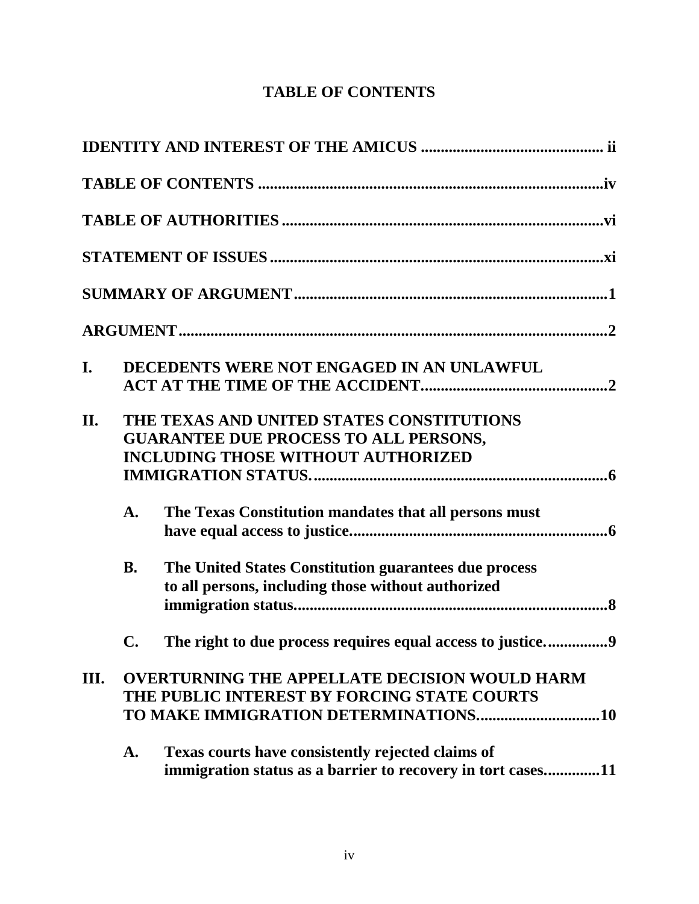# **TABLE OF CONTENTS**

| I.   |                | DECEDENTS WERE NOT ENGAGED IN AN UNLAWFUL                                                                                              |
|------|----------------|----------------------------------------------------------------------------------------------------------------------------------------|
| II.  |                | THE TEXAS AND UNITED STATES CONSTITUTIONS<br><b>GUARANTEE DUE PROCESS TO ALL PERSONS,</b><br><b>INCLUDING THOSE WITHOUT AUTHORIZED</b> |
|      | $\mathbf{A}$ . | The Texas Constitution mandates that all persons must                                                                                  |
|      | <b>B.</b>      | The United States Constitution guarantees due process<br>to all persons, including those without authorized                            |
|      | $\mathbf{C}$ . | The right to due process requires equal access to justice9                                                                             |
| III. |                | <b>OVERTURNING THE APPELLATE DECISION WOULD HARM</b><br>THE PUBLIC INTEREST BY FORCING STATE COURTS                                    |
|      | A.             | Texas courts have consistently rejected claims of<br>immigration status as a barrier to recovery in tort cases11                       |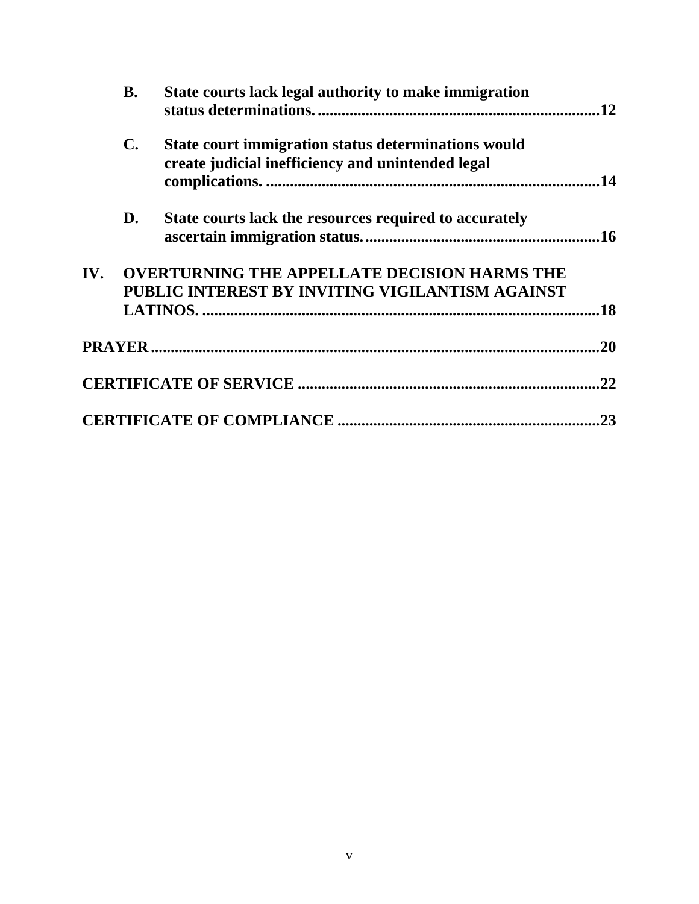|     | <b>B.</b>      | State courts lack legal authority to make immigration                                                    |     |
|-----|----------------|----------------------------------------------------------------------------------------------------------|-----|
|     | $\mathbf{C}$ . | State court immigration status determinations would<br>create judicial inefficiency and unintended legal |     |
|     | D.             | State courts lack the resources required to accurately                                                   |     |
| IV. |                | <b>OVERTURNING THE APPELLATE DECISION HARMS THE</b><br>PUBLIC INTEREST BY INVITING VIGILANTISM AGAINST   | .18 |
|     |                |                                                                                                          | .20 |
|     |                |                                                                                                          | .22 |
|     |                |                                                                                                          | .23 |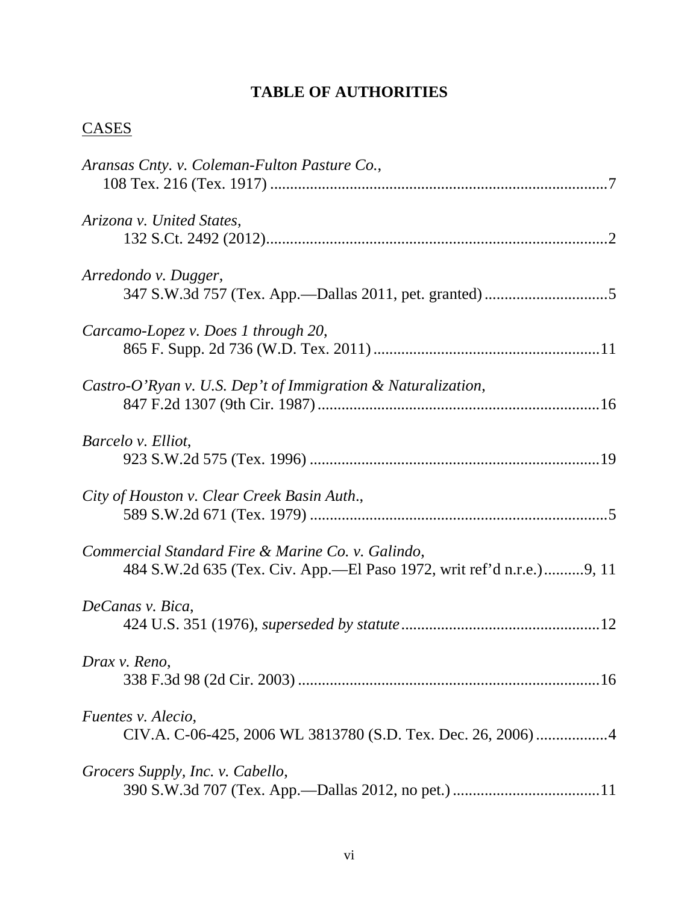# **TABLE OF AUTHORITIES**

# **CASES**

| Aransas Cnty. v. Coleman-Fulton Pasture Co.,                                                                              |
|---------------------------------------------------------------------------------------------------------------------------|
| Arizona v. United States,                                                                                                 |
| Arredondo v. Dugger,                                                                                                      |
| Carcamo-Lopez v. Does 1 through 20,                                                                                       |
| Castro-O'Ryan v. U.S. Dep't of Immigration & Naturalization,                                                              |
| Barcelo v. Elliot,                                                                                                        |
| City of Houston v. Clear Creek Basin Auth.,                                                                               |
| Commercial Standard Fire & Marine Co. v. Galindo,<br>484 S.W.2d 635 (Tex. Civ. App.—El Paso 1972, writ ref'd n.r.e.)9, 11 |
| DeCanas v. Bica,                                                                                                          |
| Drax v. Reno,                                                                                                             |
| Fuentes v. Alecio,<br>CIV.A. C-06-425, 2006 WL 3813780 (S.D. Tex. Dec. 26, 2006) 4                                        |
| Grocers Supply, Inc. v. Cabello,                                                                                          |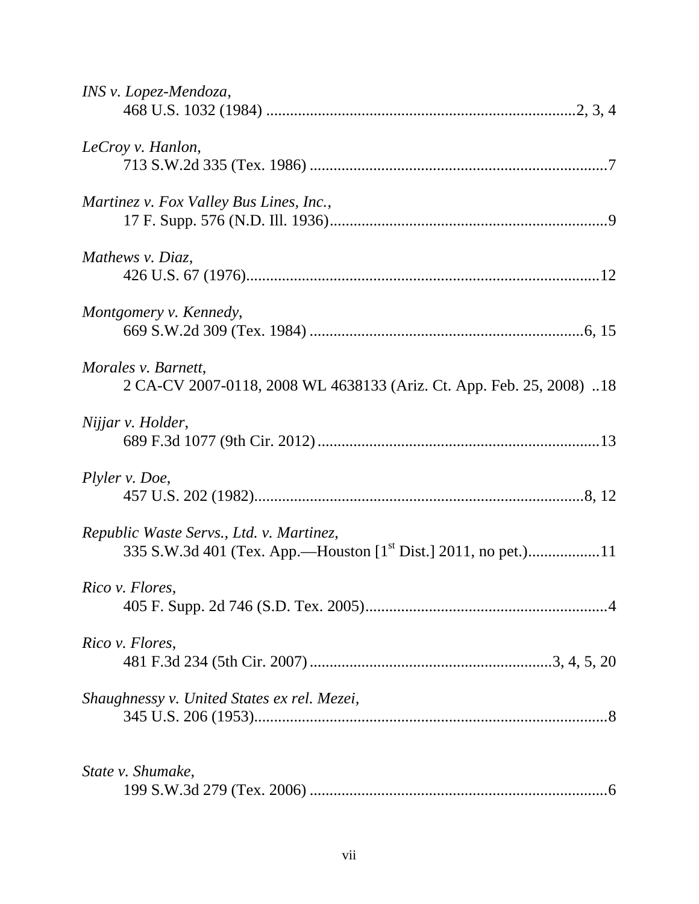| INS v. Lopez-Mendoza,                                                                       |
|---------------------------------------------------------------------------------------------|
| LeCroy v. Hanlon,                                                                           |
| Martinez v. Fox Valley Bus Lines, Inc.,                                                     |
| Mathews v. Diaz,                                                                            |
| Montgomery v. Kennedy,                                                                      |
| Morales v. Barnett,<br>2 CA-CV 2007-0118, 2008 WL 4638133 (Ariz. Ct. App. Feb. 25, 2008) 18 |
| Nijjar v. Holder,                                                                           |
| Plyler v. Doe,                                                                              |
| Republic Waste Servs., Ltd. v. Martinez,                                                    |
| Rico v. Flores,                                                                             |
| Rico v. Flores,                                                                             |
| Shaughnessy v. United States ex rel. Mezei,                                                 |
| State v. Shumake,                                                                           |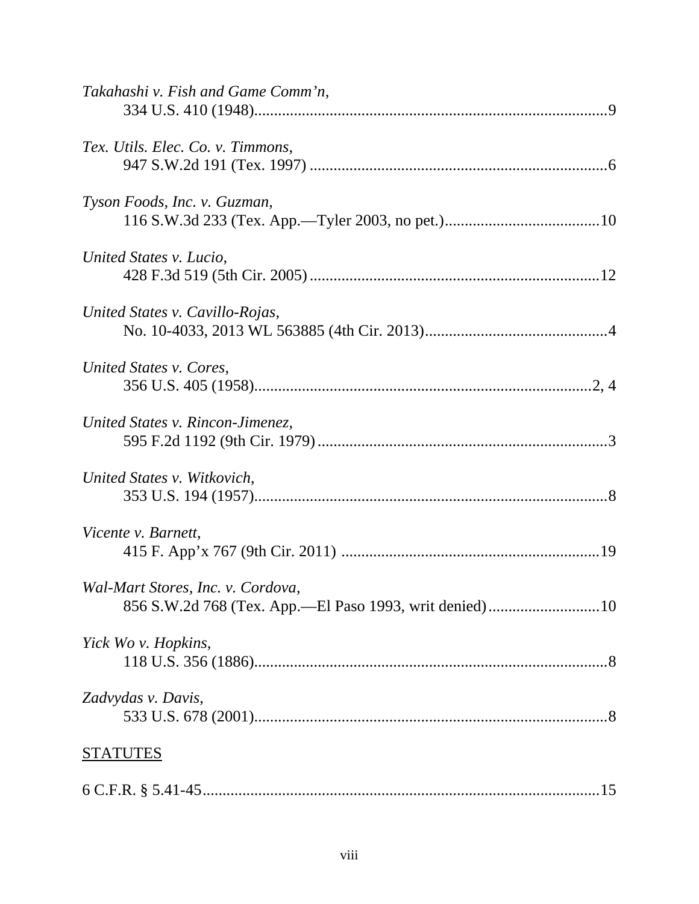| Takahashi v. Fish and Game Comm'n, |
|------------------------------------|
| Tex. Utils. Elec. Co. v. Timmons,  |
| Tyson Foods, Inc. v. Guzman,       |
| United States v. Lucio,            |
| United States v. Cavillo-Rojas,    |
| United States v. Cores,            |
| United States v. Rincon-Jimenez,   |
| United States v. Witkovich,        |
| Vicente v. Barnett,                |
| Wal-Mart Stores, Inc. v. Cordova,  |
| Yick Wo v. Hopkins,                |
| Zadvydas v. Davis,                 |
| <b>STATUTES</b>                    |
|                                    |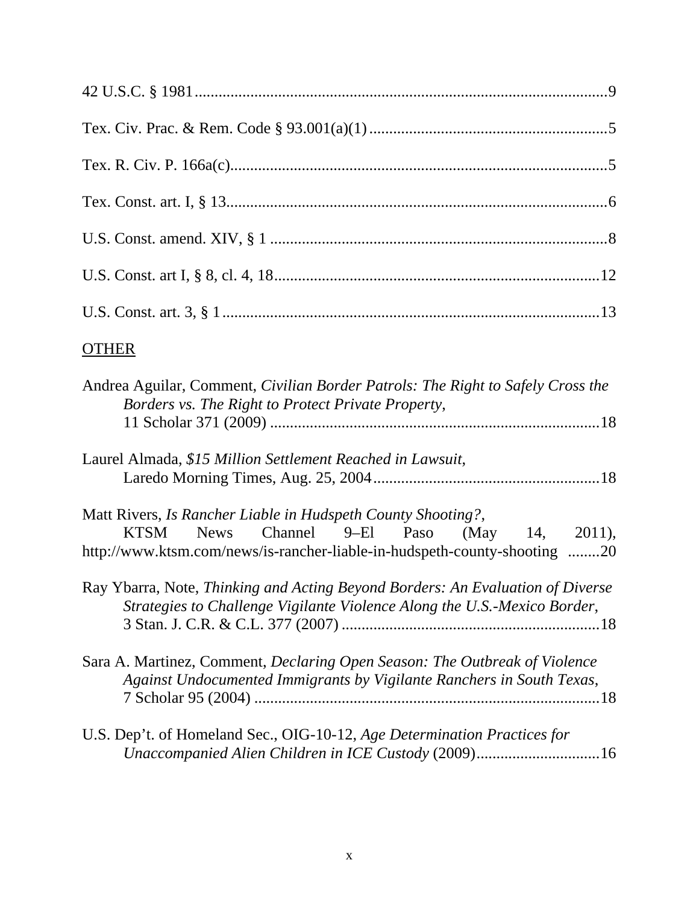| <b>OTHER</b>                                                                                                                                                                                                 |
|--------------------------------------------------------------------------------------------------------------------------------------------------------------------------------------------------------------|
| Andrea Aguilar, Comment, Civilian Border Patrols: The Right to Safely Cross the<br>Borders vs. The Right to Protect Private Property,                                                                        |
| Laurel Almada, \$15 Million Settlement Reached in Lawsuit,                                                                                                                                                   |
| Matt Rivers, Is Rancher Liable in Hudspeth County Shooting?,<br>Channel 9–El Paso (May 14, 2011),<br><b>KTSM</b><br><b>News</b><br>http://www.ktsm.com/news/is-rancher-liable-in-hudspeth-county-shooting 20 |
| Ray Ybarra, Note, Thinking and Acting Beyond Borders: An Evaluation of Diverse<br>Strategies to Challenge Vigilante Violence Along the U.S.-Mexico Border,                                                   |
| Sara A. Martinez, Comment, Declaring Open Season: The Outbreak of Violence<br>Against Undocumented Immigrants by Vigilante Ranchers in South Texas,                                                          |
| U.S. Dep't. of Homeland Sec., OIG-10-12, Age Determination Practices for<br>Unaccompanied Alien Children in ICE Custody (2009)16                                                                             |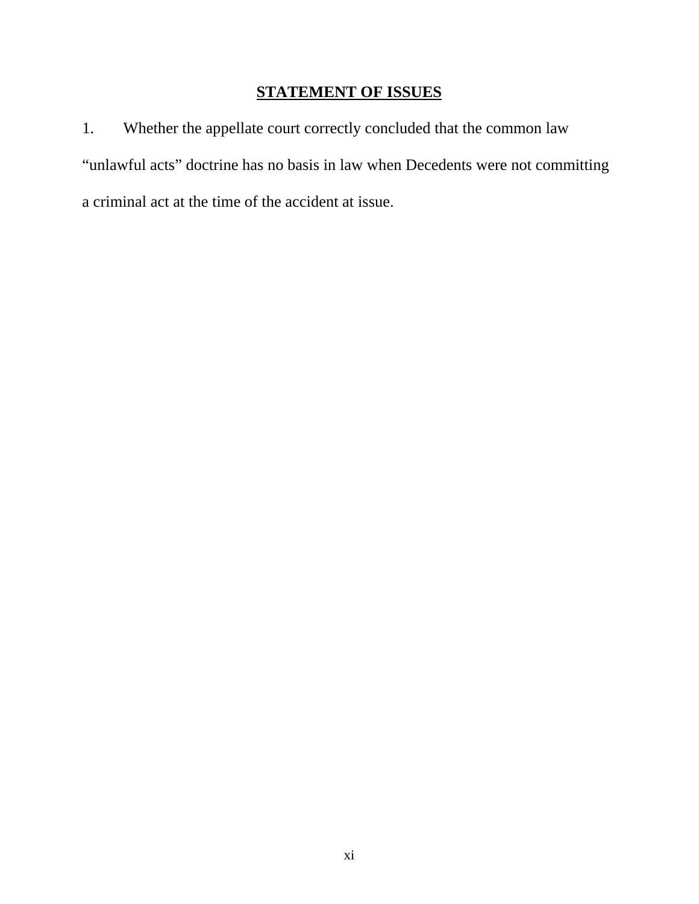# **STATEMENT OF ISSUES**

1. Whether the appellate court correctly concluded that the common law "unlawful acts" doctrine has no basis in law when Decedents were not committing a criminal act at the time of the accident at issue.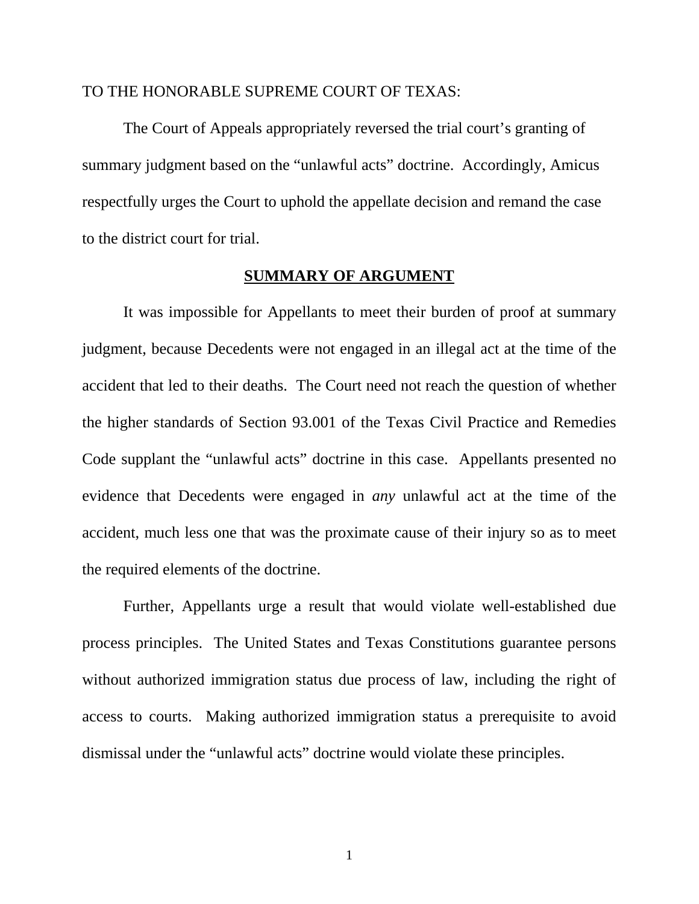#### TO THE HONORABLE SUPREME COURT OF TEXAS:

The Court of Appeals appropriately reversed the trial court's granting of summary judgment based on the "unlawful acts" doctrine. Accordingly, Amicus respectfully urges the Court to uphold the appellate decision and remand the case to the district court for trial.

#### **SUMMARY OF ARGUMENT**

It was impossible for Appellants to meet their burden of proof at summary judgment, because Decedents were not engaged in an illegal act at the time of the accident that led to their deaths. The Court need not reach the question of whether the higher standards of Section 93.001 of the Texas Civil Practice and Remedies Code supplant the "unlawful acts" doctrine in this case. Appellants presented no evidence that Decedents were engaged in *any* unlawful act at the time of the accident, much less one that was the proximate cause of their injury so as to meet the required elements of the doctrine.

Further, Appellants urge a result that would violate well-established due process principles. The United States and Texas Constitutions guarantee persons without authorized immigration status due process of law, including the right of access to courts. Making authorized immigration status a prerequisite to avoid dismissal under the "unlawful acts" doctrine would violate these principles.

1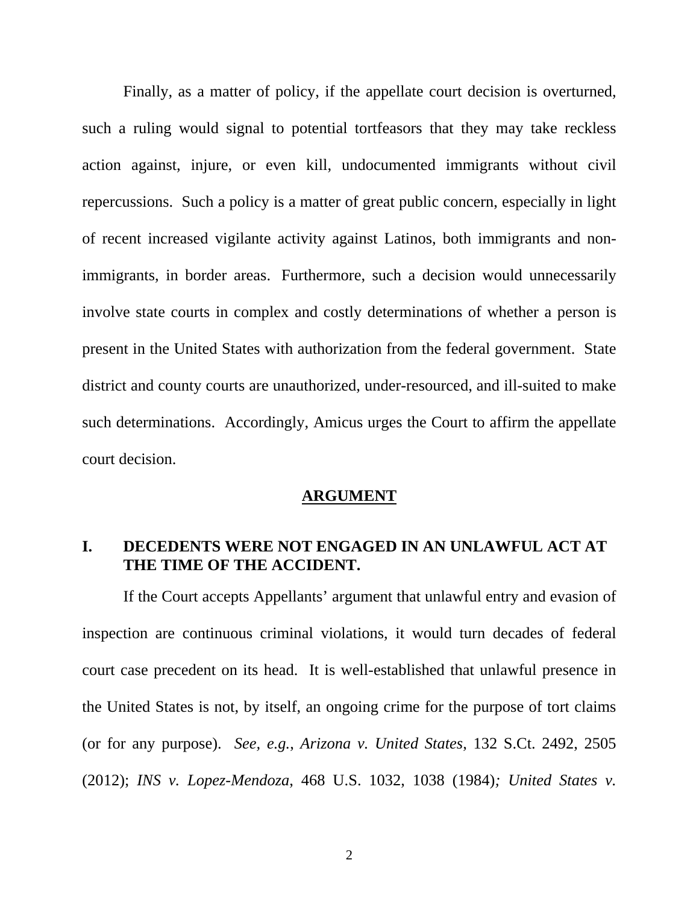Finally, as a matter of policy, if the appellate court decision is overturned, such a ruling would signal to potential tortfeasors that they may take reckless action against, injure, or even kill, undocumented immigrants without civil repercussions. Such a policy is a matter of great public concern, especially in light of recent increased vigilante activity against Latinos, both immigrants and nonimmigrants, in border areas. Furthermore, such a decision would unnecessarily involve state courts in complex and costly determinations of whether a person is present in the United States with authorization from the federal government. State district and county courts are unauthorized, under-resourced, and ill-suited to make such determinations. Accordingly, Amicus urges the Court to affirm the appellate court decision.

#### **ARGUMENT**

#### **I. DECEDENTS WERE NOT ENGAGED IN AN UNLAWFUL ACT AT THE TIME OF THE ACCIDENT.**

If the Court accepts Appellants' argument that unlawful entry and evasion of inspection are continuous criminal violations, it would turn decades of federal court case precedent on its head. It is well-established that unlawful presence in the United States is not, by itself, an ongoing crime for the purpose of tort claims (or for any purpose). *See, e.g.*, *Arizona v. United States*, 132 S.Ct. 2492, 2505 (2012); *INS v. Lopez-Mendoza*, 468 U.S. 1032, 1038 (1984)*; United States v.*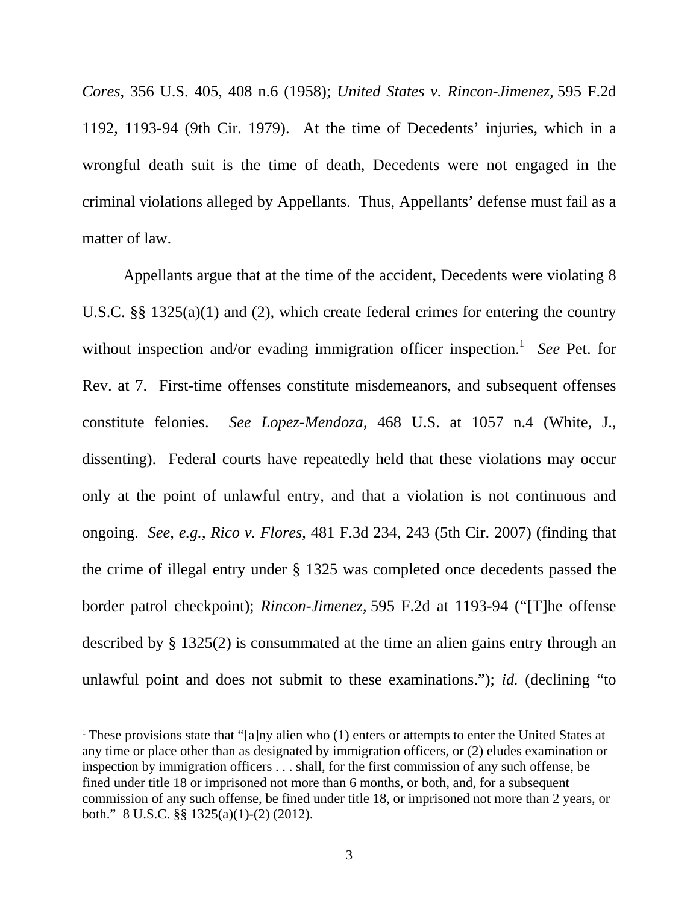*Cores*, 356 U.S. 405, 408 n.6 (1958); *United States v. Rincon-Jimenez,* 595 F.2d 1192, 1193-94 (9th Cir. 1979). At the time of Decedents' injuries, which in a wrongful death suit is the time of death, Decedents were not engaged in the criminal violations alleged by Appellants. Thus, Appellants' defense must fail as a matter of law.

Appellants argue that at the time of the accident, Decedents were violating 8 U.S.C. §§ 1325(a)(1) and (2), which create federal crimes for entering the country without inspection and/or evading immigration officer inspection.<sup>1</sup> See Pet. for Rev. at 7. First-time offenses constitute misdemeanors, and subsequent offenses constitute felonies. *See Lopez-Mendoza*, 468 U.S. at 1057 n.4 (White, J., dissenting). Federal courts have repeatedly held that these violations may occur only at the point of unlawful entry, and that a violation is not continuous and ongoing. *See, e.g.*, *Rico v. Flores*, 481 F.3d 234, 243 (5th Cir. 2007) (finding that the crime of illegal entry under § 1325 was completed once decedents passed the border patrol checkpoint); *Rincon-Jimenez,* 595 F.2d at 1193-94 ("[T]he offense described by § 1325(2) is consummated at the time an alien gains entry through an unlawful point and does not submit to these examinations."); *id.* (declining "to

<sup>&</sup>lt;sup>1</sup> These provisions state that "[a]ny alien who  $(1)$  enters or attempts to enter the United States at any time or place other than as designated by immigration officers, or (2) eludes examination or inspection by immigration officers . . . shall, for the first commission of any such offense, be fined under title 18 or imprisoned not more than 6 months, or both, and, for a subsequent commission of any such offense, be fined under title 18, or imprisoned not more than 2 years, or both." 8 U.S.C. §§ 1325(a)(1)-(2) (2012).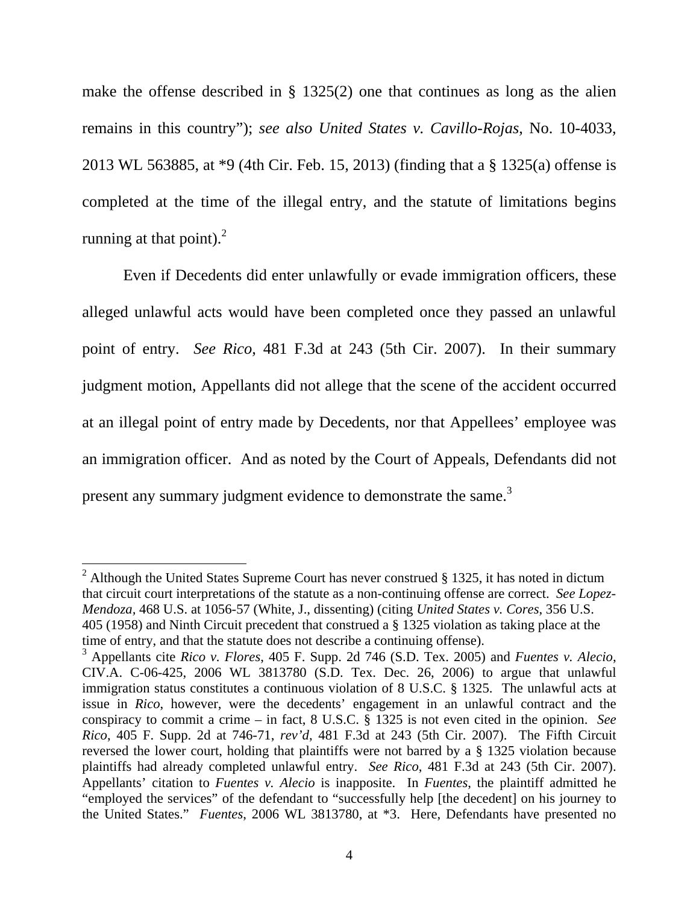make the offense described in § 1325(2) one that continues as long as the alien remains in this country"); *see also United States v. Cavillo-Rojas*, No. 10-4033, 2013 WL 563885, at \*9 (4th Cir. Feb. 15, 2013) (finding that a § 1325(a) offense is completed at the time of the illegal entry, and the statute of limitations begins running at that point). $^{2}$ 

Even if Decedents did enter unlawfully or evade immigration officers, these alleged unlawful acts would have been completed once they passed an unlawful point of entry. *See Rico*, 481 F.3d at 243 (5th Cir. 2007). In their summary judgment motion, Appellants did not allege that the scene of the accident occurred at an illegal point of entry made by Decedents, nor that Appellees' employee was an immigration officer. And as noted by the Court of Appeals, Defendants did not present any summary judgment evidence to demonstrate the same.<sup>3</sup>

<sup>&</sup>lt;sup>2</sup> Although the United States Supreme Court has never construed § 1325, it has noted in dictum that circuit court interpretations of the statute as a non-continuing offense are correct. *See Lopez-Mendoza,* 468 U.S. at 1056-57 (White, J., dissenting) (citing *United States v. Cores*, 356 U.S. 405 (1958) and Ninth Circuit precedent that construed a § 1325 violation as taking place at the time of entry, and that the statute does not describe a continuing offense).

<sup>3</sup> Appellants cite *Rico v. Flores*, 405 F. Supp. 2d 746 (S.D. Tex. 2005) and *Fuentes v. Alecio*, CIV.A. C-06-425, 2006 WL 3813780 (S.D. Tex. Dec. 26, 2006) to argue that unlawful immigration status constitutes a continuous violation of 8 U.S.C. § 1325. The unlawful acts at issue in *Rico*, however, were the decedents' engagement in an unlawful contract and the conspiracy to commit a crime – in fact, 8 U.S.C. § 1325 is not even cited in the opinion. *See Rico*, 405 F. Supp. 2d at 746-71, *rev'd*, 481 F.3d at 243 (5th Cir. 2007). The Fifth Circuit reversed the lower court, holding that plaintiffs were not barred by a § 1325 violation because plaintiffs had already completed unlawful entry. *See Rico*, 481 F.3d at 243 (5th Cir. 2007). Appellants' citation to *Fuentes v. Alecio* is inapposite. In *Fuentes*, the plaintiff admitted he "employed the services" of the defendant to "successfully help [the decedent] on his journey to the United States." *Fuentes*, 2006 WL 3813780, at \*3. Here, Defendants have presented no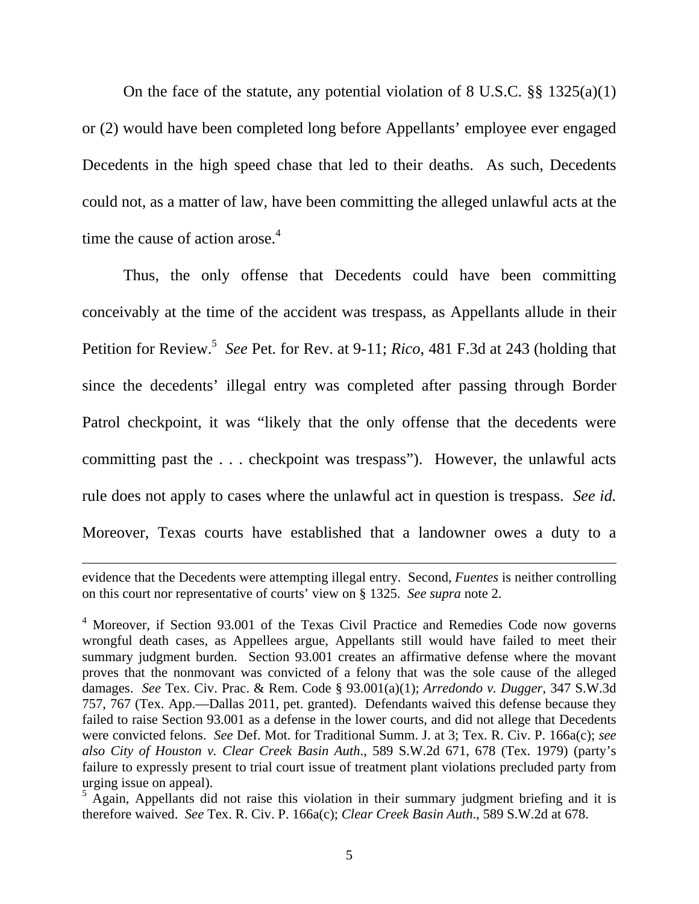On the face of the statute, any potential violation of 8 U.S.C.  $\S\S 1325(a)(1)$ or (2) would have been completed long before Appellants' employee ever engaged Decedents in the high speed chase that led to their deaths. As such, Decedents could not, as a matter of law, have been committing the alleged unlawful acts at the time the cause of action arose. $4$ 

Thus, the only offense that Decedents could have been committing conceivably at the time of the accident was trespass, as Appellants allude in their Petition for Review.<sup>5</sup> See Pet. for Rev. at 9-11; *Rico*, 481 F.3d at 243 (holding that since the decedents' illegal entry was completed after passing through Border Patrol checkpoint, it was "likely that the only offense that the decedents were committing past the . . . checkpoint was trespass"). However, the unlawful acts rule does not apply to cases where the unlawful act in question is trespass. *See id.* Moreover, Texas courts have established that a landowner owes a duty to a

<u> 1989 - Andrea San Andrea San Andrea San Andrea San Andrea San Andrea San Andrea San Andrea San Andrea San An</u>

evidence that the Decedents were attempting illegal entry. Second, *Fuentes* is neither controlling on this court nor representative of courts' view on § 1325. *See supra* note 2.

<sup>&</sup>lt;sup>4</sup> Moreover, if Section 93.001 of the Texas Civil Practice and Remedies Code now governs wrongful death cases, as Appellees argue, Appellants still would have failed to meet their summary judgment burden. Section 93.001 creates an affirmative defense where the movant proves that the nonmovant was convicted of a felony that was the sole cause of the alleged damages. *See* Tex. Civ. Prac. & Rem. Code § 93.001(a)(1); *Arredondo v. Dugger*, 347 S.W.3d 757, 767 (Tex. App.—Dallas 2011, pet. granted).Defendants waived this defense because they failed to raise Section 93.001 as a defense in the lower courts, and did not allege that Decedents were convicted felons. *See* Def. Mot. for Traditional Summ. J. at 3; Tex. R. Civ. P. 166a(c); *see also City of Houston v. Clear Creek Basin Auth*., 589 S.W.2d 671, 678 (Tex. 1979) (party's failure to expressly present to trial court issue of treatment plant violations precluded party from urging issue on appeal).

 $5$  Again, Appellants did not raise this violation in their summary judgment briefing and it is therefore waived. *See* Tex. R. Civ. P. 166a(c); *Clear Creek Basin Auth*., 589 S.W.2d at 678.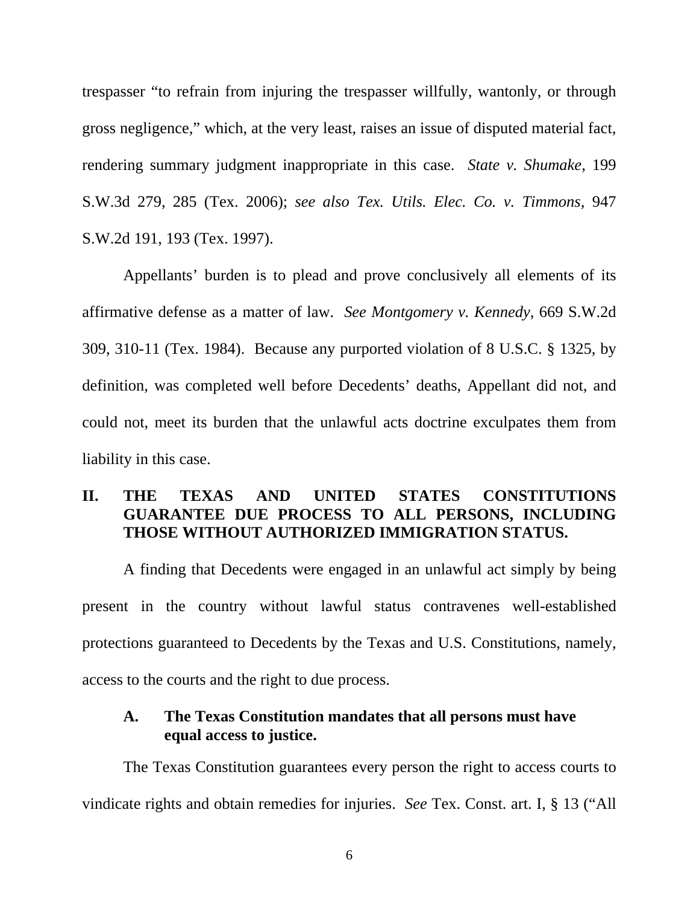trespasser "to refrain from injuring the trespasser willfully, wantonly, or through gross negligence," which, at the very least, raises an issue of disputed material fact, rendering summary judgment inappropriate in this case. *State v. Shumake*, 199 S.W.3d 279, 285 (Tex. 2006); *see also Tex. Utils. Elec. Co. v. Timmons*, 947 S.W.2d 191, 193 (Tex. 1997).

Appellants' burden is to plead and prove conclusively all elements of its affirmative defense as a matter of law. *See Montgomery v. Kennedy*, 669 S.W.2d 309, 310-11 (Tex. 1984). Because any purported violation of 8 U.S.C. § 1325, by definition, was completed well before Decedents' deaths, Appellant did not, and could not, meet its burden that the unlawful acts doctrine exculpates them from liability in this case.

## **II. THE TEXAS AND UNITED STATES CONSTITUTIONS GUARANTEE DUE PROCESS TO ALL PERSONS, INCLUDING THOSE WITHOUT AUTHORIZED IMMIGRATION STATUS.**

A finding that Decedents were engaged in an unlawful act simply by being present in the country without lawful status contravenes well-established protections guaranteed to Decedents by the Texas and U.S. Constitutions, namely, access to the courts and the right to due process.

### **A. The Texas Constitution mandates that all persons must have equal access to justice.**

 The Texas Constitution guarantees every person the right to access courts to vindicate rights and obtain remedies for injuries. *See* Tex. Const. art. I, § 13 ("All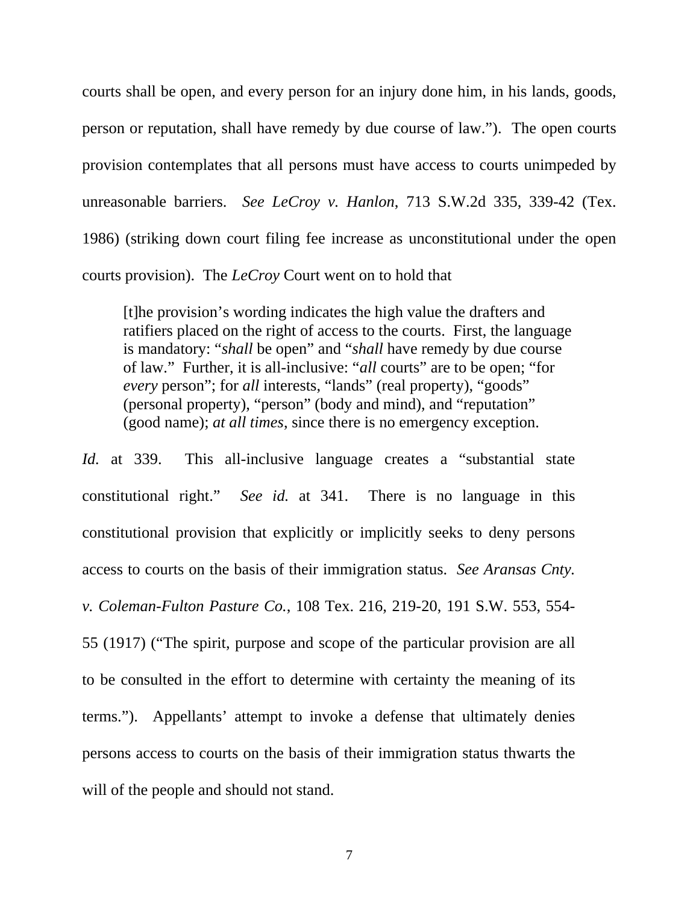courts shall be open, and every person for an injury done him, in his lands, goods, person or reputation, shall have remedy by due course of law."). The open courts provision contemplates that all persons must have access to courts unimpeded by unreasonable barriers. *See LeCroy v. Hanlon*, 713 S.W.2d 335, 339-42 (Tex. 1986) (striking down court filing fee increase as unconstitutional under the open courts provision). The *LeCroy* Court went on to hold that

[t]he provision's wording indicates the high value the drafters and ratifiers placed on the right of access to the courts. First, the language is mandatory: "*shall* be open" and "*shall* have remedy by due course of law." Further, it is all-inclusive: "*all* courts" are to be open; "for *every* person"; for *all* interests, "lands" (real property), "goods" (personal property), "person" (body and mind), and "reputation" (good name); *at all times*, since there is no emergency exception.

*Id.* at 339. This all-inclusive language creates a "substantial state constitutional right." *See id.* at 341. There is no language in this constitutional provision that explicitly or implicitly seeks to deny persons access to courts on the basis of their immigration status. *See Aransas Cnty. v. Coleman-Fulton Pasture Co.*, 108 Tex. 216, 219-20, 191 S.W. 553, 554- 55 (1917) ("The spirit, purpose and scope of the particular provision are all to be consulted in the effort to determine with certainty the meaning of its terms."). Appellants' attempt to invoke a defense that ultimately denies persons access to courts on the basis of their immigration status thwarts the will of the people and should not stand.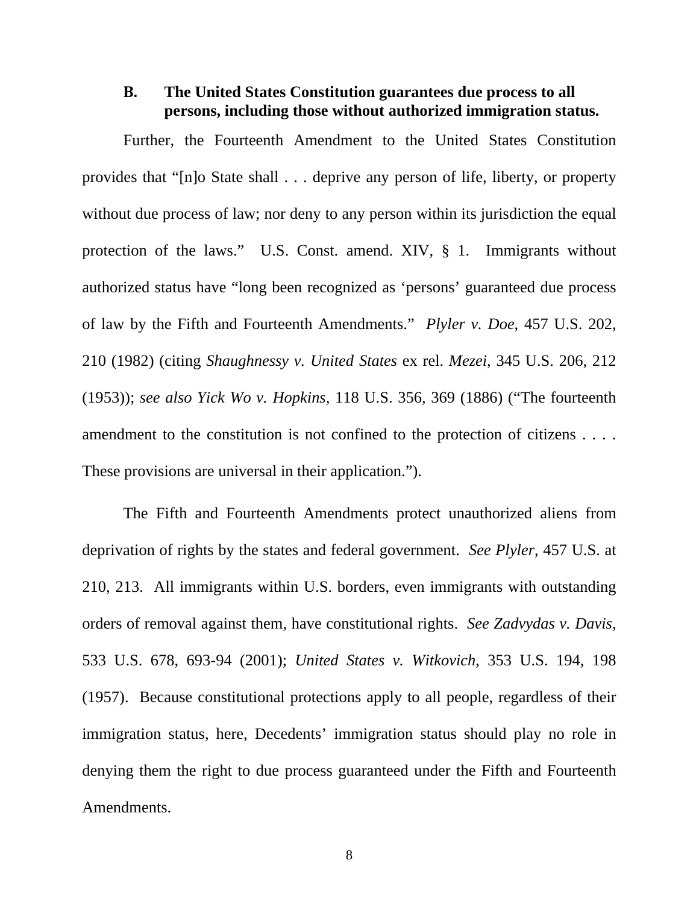#### **B. The United States Constitution guarantees due process to all persons, including those without authorized immigration status.**

 Further, the Fourteenth Amendment to the United States Constitution provides that "[n]o State shall . . . deprive any person of life, liberty, or property without due process of law; nor deny to any person within its jurisdiction the equal protection of the laws." U.S. Const. amend. XIV, § 1. Immigrants without authorized status have "long been recognized as 'persons' guaranteed due process of law by the Fifth and Fourteenth Amendments." *Plyler v. Doe*, 457 U.S. 202, 210 (1982) (citing *Shaughnessy v. United States* ex rel. *Mezei*, 345 U.S. 206, 212 (1953)); *see also Yick Wo v. Hopkins*, 118 U.S. 356, 369 (1886) ("The fourteenth amendment to the constitution is not confined to the protection of citizens . . . . These provisions are universal in their application.").

The Fifth and Fourteenth Amendments protect unauthorized aliens from deprivation of rights by the states and federal government. *See Plyler*, 457 U.S. at 210, 213. All immigrants within U.S. borders, even immigrants with outstanding orders of removal against them, have constitutional rights. *See Zadvydas v. Davis*, 533 U.S. 678, 693-94 (2001); *United States v. Witkovich*, 353 U.S. 194, 198 (1957). Because constitutional protections apply to all people, regardless of their immigration status, here, Decedents' immigration status should play no role in denying them the right to due process guaranteed under the Fifth and Fourteenth Amendments.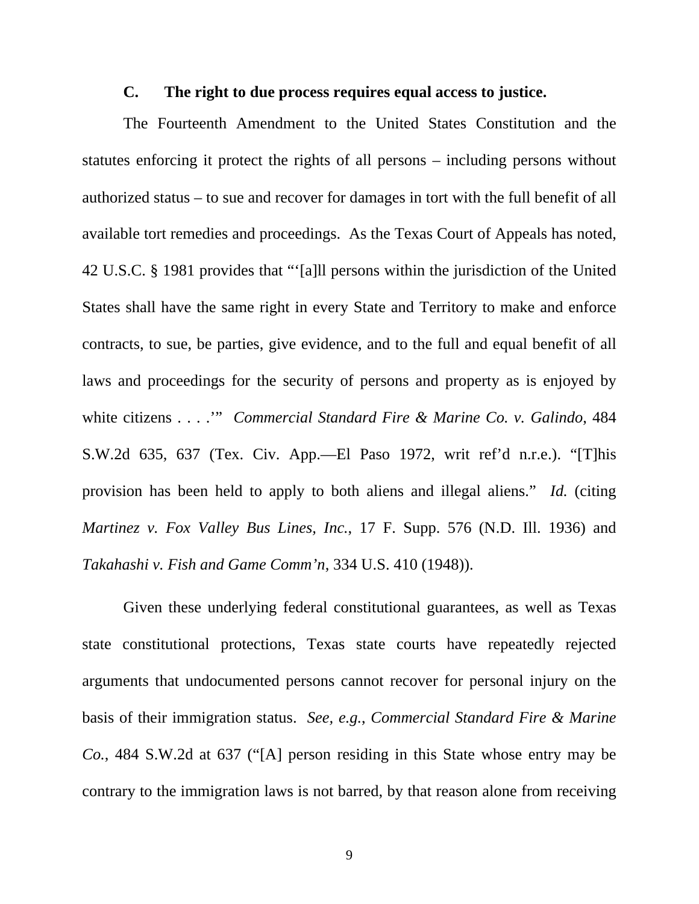#### **C. The right to due process requires equal access to justice.**

 The Fourteenth Amendment to the United States Constitution and the statutes enforcing it protect the rights of all persons – including persons without authorized status – to sue and recover for damages in tort with the full benefit of all available tort remedies and proceedings. As the Texas Court of Appeals has noted, 42 U.S.C. § 1981 provides that "'[a]ll persons within the jurisdiction of the United States shall have the same right in every State and Territory to make and enforce contracts, to sue, be parties, give evidence, and to the full and equal benefit of all laws and proceedings for the security of persons and property as is enjoyed by white citizens . . . .'" *Commercial Standard Fire & Marine Co. v. Galindo*, 484 S.W.2d 635, 637 (Tex. Civ. App.—El Paso 1972, writ ref'd n.r.e.). "[T]his provision has been held to apply to both aliens and illegal aliens." *Id.* (citing *Martinez v. Fox Valley Bus Lines, Inc.*, 17 F. Supp. 576 (N.D. Ill. 1936) and *Takahashi v. Fish and Game Comm'n*, 334 U.S. 410 (1948)).

 Given these underlying federal constitutional guarantees, as well as Texas state constitutional protections, Texas state courts have repeatedly rejected arguments that undocumented persons cannot recover for personal injury on the basis of their immigration status. *See, e.g.*, *Commercial Standard Fire & Marine Co.*, 484 S.W.2d at 637 ("[A] person residing in this State whose entry may be contrary to the immigration laws is not barred, by that reason alone from receiving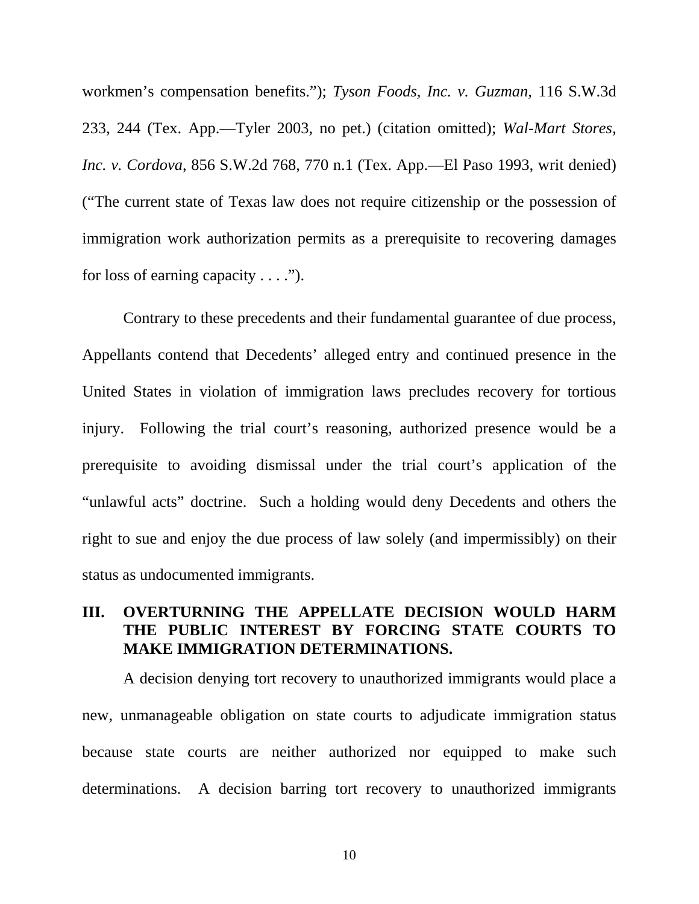workmen's compensation benefits."); *Tyson Foods, Inc. v. Guzman*, 116 S.W.3d 233, 244 (Tex. App.—Tyler 2003, no pet.) (citation omitted); *Wal-Mart Stores, Inc. v. Cordova*, 856 S.W.2d 768, 770 n.1 (Tex. App.—El Paso 1993, writ denied) ("The current state of Texas law does not require citizenship or the possession of immigration work authorization permits as a prerequisite to recovering damages for loss of earning capacity  $\dots$ .").

Contrary to these precedents and their fundamental guarantee of due process, Appellants contend that Decedents' alleged entry and continued presence in the United States in violation of immigration laws precludes recovery for tortious injury. Following the trial court's reasoning, authorized presence would be a prerequisite to avoiding dismissal under the trial court's application of the "unlawful acts" doctrine. Such a holding would deny Decedents and others the right to sue and enjoy the due process of law solely (and impermissibly) on their status as undocumented immigrants.

# **III. OVERTURNING THE APPELLATE DECISION WOULD HARM THE PUBLIC INTEREST BY FORCING STATE COURTS TO MAKE IMMIGRATION DETERMINATIONS.**

A decision denying tort recovery to unauthorized immigrants would place a new, unmanageable obligation on state courts to adjudicate immigration status because state courts are neither authorized nor equipped to make such determinations. A decision barring tort recovery to unauthorized immigrants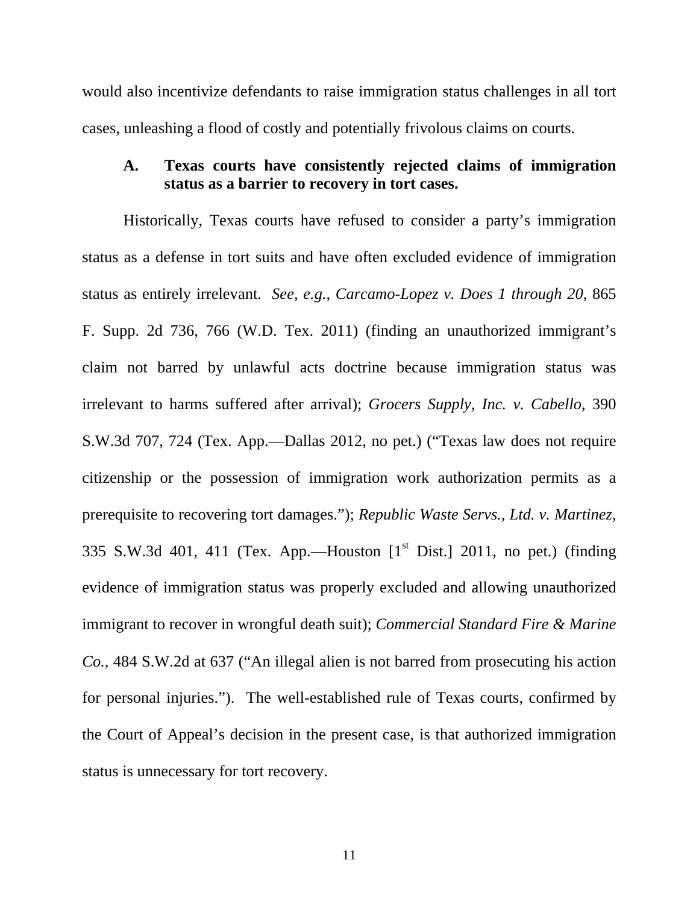would also incentivize defendants to raise immigration status challenges in all tort cases, unleashing a flood of costly and potentially frivolous claims on courts.

# **A. Texas courts have consistently rejected claims of immigration status as a barrier to recovery in tort cases.**

Historically, Texas courts have refused to consider a party's immigration status as a defense in tort suits and have often excluded evidence of immigration status as entirely irrelevant. *See, e.g.*, *Carcamo-Lopez v. Does 1 through 20*, 865 F. Supp. 2d 736, 766 (W.D. Tex. 2011) (finding an unauthorized immigrant's claim not barred by unlawful acts doctrine because immigration status was irrelevant to harms suffered after arrival); *Grocers Supply, Inc. v. Cabello*, 390 S.W.3d 707, 724 (Tex. App.—Dallas 2012, no pet.) ("Texas law does not require citizenship or the possession of immigration work authorization permits as a prerequisite to recovering tort damages."); *Republic Waste Servs., Ltd. v. Martinez*, 335 S.W.3d 401, 411 (Tex. App.—Houston  $[1<sup>st</sup> Dist.]$  2011, no pet.) (finding evidence of immigration status was properly excluded and allowing unauthorized immigrant to recover in wrongful death suit); *Commercial Standard Fire & Marine Co.*, 484 S.W.2d at 637 ("An illegal alien is not barred from prosecuting his action for personal injuries."). The well-established rule of Texas courts, confirmed by the Court of Appeal's decision in the present case, is that authorized immigration status is unnecessary for tort recovery.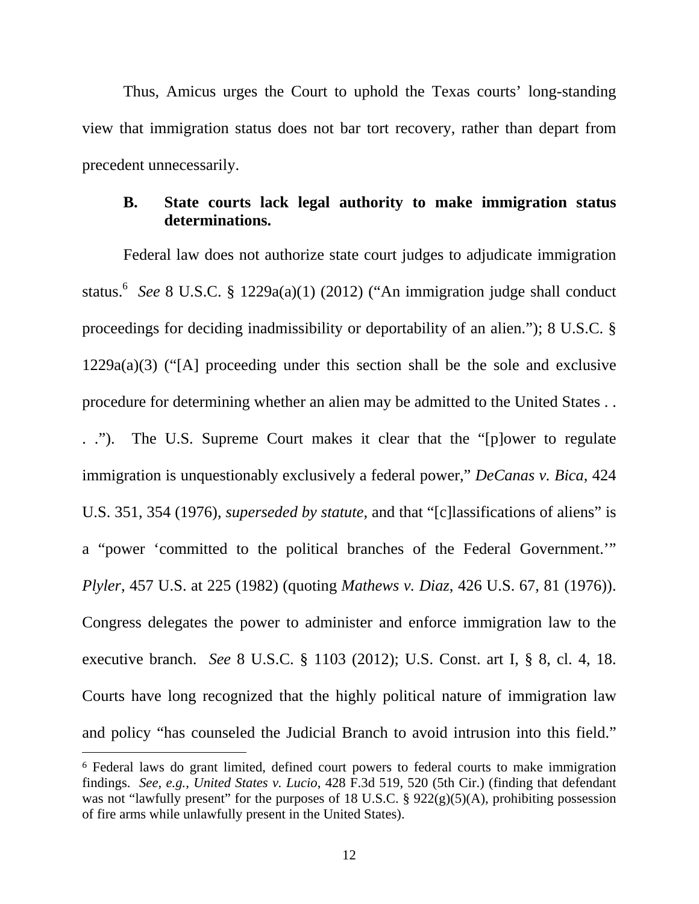Thus, Amicus urges the Court to uphold the Texas courts' long-standing view that immigration status does not bar tort recovery, rather than depart from precedent unnecessarily.

## **B. State courts lack legal authority to make immigration status determinations.**

Federal law does not authorize state court judges to adjudicate immigration status.<sup>6</sup> See 8 U.S.C. § 1229a(a)(1) (2012) ("An immigration judge shall conduct proceedings for deciding inadmissibility or deportability of an alien."); 8 U.S.C. § 1229a(a)(3) ("[A] proceeding under this section shall be the sole and exclusive procedure for determining whether an alien may be admitted to the United States . .

. ."). The U.S. Supreme Court makes it clear that the "[p]ower to regulate immigration is unquestionably exclusively a federal power," *DeCanas v. Bica*, 424 U.S. 351, 354 (1976), *superseded by statute*, and that "[c]lassifications of aliens" is a "power 'committed to the political branches of the Federal Government.'" *Plyler*, 457 U.S. at 225 (1982) (quoting *Mathews v. Diaz*, 426 U.S. 67, 81 (1976)). Congress delegates the power to administer and enforce immigration law to the executive branch. *See* 8 U.S.C. § 1103 (2012); U.S. Const. art I, § 8, cl. 4, 18. Courts have long recognized that the highly political nature of immigration law and policy "has counseled the Judicial Branch to avoid intrusion into this field."

<sup>6</sup> Federal laws do grant limited, defined court powers to federal courts to make immigration findings. *See, e.g.*, *United States v. Lucio*, 428 F.3d 519, 520 (5th Cir.) (finding that defendant was not "lawfully present" for the purposes of 18 U.S.C.  $\S$  922(g)(5)(A), prohibiting possession of fire arms while unlawfully present in the United States).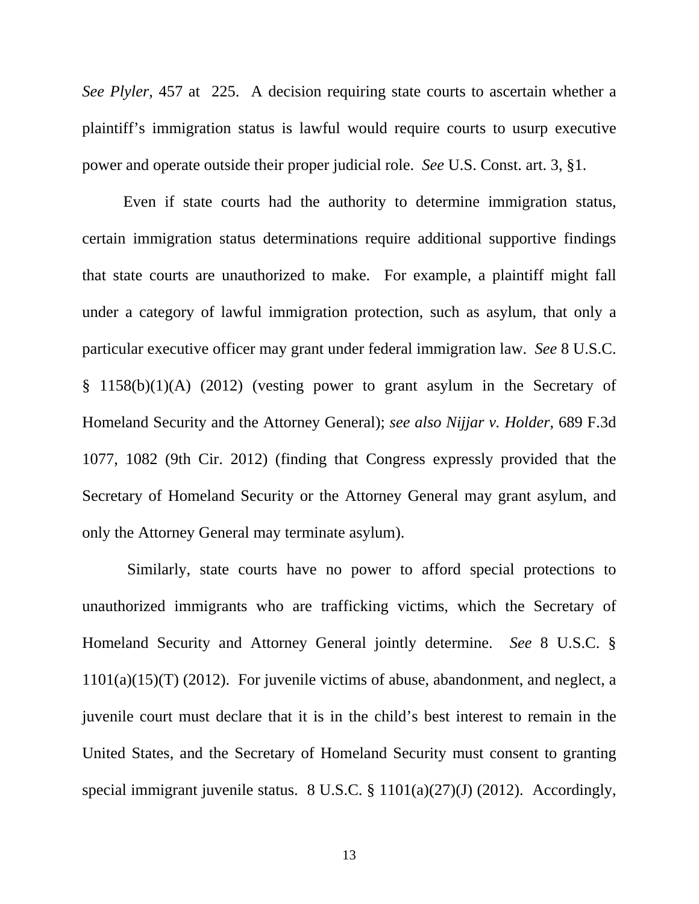*See Plyler*, 457 at 225. A decision requiring state courts to ascertain whether a plaintiff's immigration status is lawful would require courts to usurp executive power and operate outside their proper judicial role. *See* U.S. Const. art. 3, §1.

Even if state courts had the authority to determine immigration status, certain immigration status determinations require additional supportive findings that state courts are unauthorized to make. For example, a plaintiff might fall under a category of lawful immigration protection, such as asylum, that only a particular executive officer may grant under federal immigration law. *See* 8 U.S.C. § 1158(b)(1)(A) (2012) (vesting power to grant asylum in the Secretary of Homeland Security and the Attorney General); *see also Nijjar v. Holder*, 689 F.3d 1077, 1082 (9th Cir. 2012) (finding that Congress expressly provided that the Secretary of Homeland Security or the Attorney General may grant asylum, and only the Attorney General may terminate asylum).

 Similarly, state courts have no power to afford special protections to unauthorized immigrants who are trafficking victims, which the Secretary of Homeland Security and Attorney General jointly determine. *See* 8 U.S.C. § 1101(a)(15)(T) (2012). For juvenile victims of abuse, abandonment, and neglect, a juvenile court must declare that it is in the child's best interest to remain in the United States, and the Secretary of Homeland Security must consent to granting special immigrant juvenile status. 8 U.S.C. § 1101(a)(27)(J) (2012). Accordingly,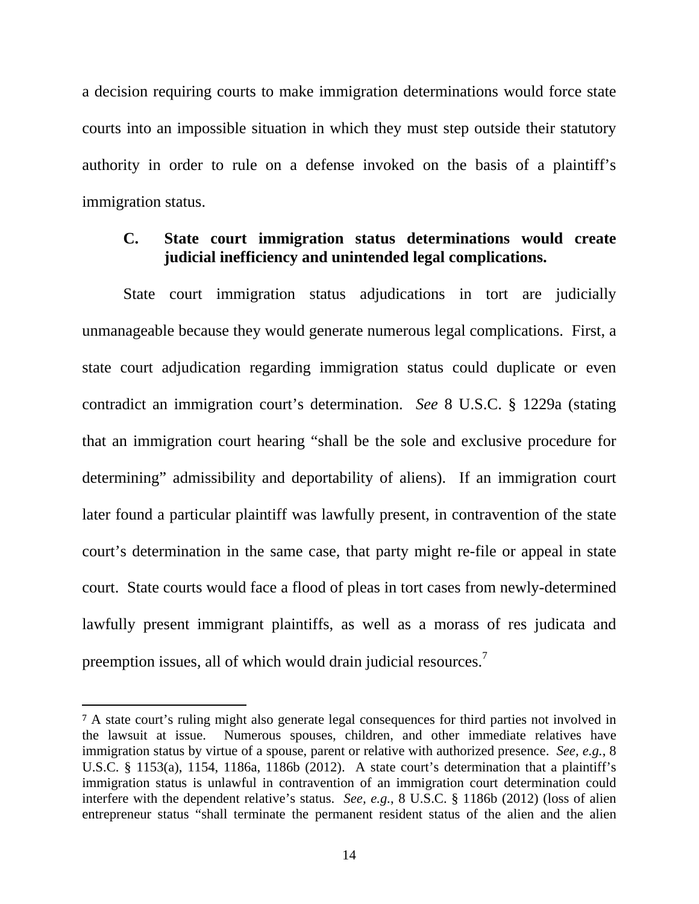a decision requiring courts to make immigration determinations would force state courts into an impossible situation in which they must step outside their statutory authority in order to rule on a defense invoked on the basis of a plaintiff's immigration status.

### **C. State court immigration status determinations would create judicial inefficiency and unintended legal complications.**

State court immigration status adjudications in tort are judicially unmanageable because they would generate numerous legal complications. First, a state court adjudication regarding immigration status could duplicate or even contradict an immigration court's determination. *See* 8 U.S.C. § 1229a (stating that an immigration court hearing "shall be the sole and exclusive procedure for determining" admissibility and deportability of aliens). If an immigration court later found a particular plaintiff was lawfully present, in contravention of the state court's determination in the same case, that party might re-file or appeal in state court. State courts would face a flood of pleas in tort cases from newly-determined lawfully present immigrant plaintiffs, as well as a morass of res judicata and preemption issues, all of which would drain judicial resources.<sup>7</sup>

<sup>7</sup> A state court's ruling might also generate legal consequences for third parties not involved in the lawsuit at issue. Numerous spouses, children, and other immediate relatives have immigration status by virtue of a spouse, parent or relative with authorized presence. *See, e.g.*, 8 U.S.C. § 1153(a), 1154, 1186a, 1186b (2012). A state court's determination that a plaintiff's immigration status is unlawful in contravention of an immigration court determination could interfere with the dependent relative's status. *See, e.g.*, 8 U.S.C. § 1186b (2012) (loss of alien entrepreneur status "shall terminate the permanent resident status of the alien and the alien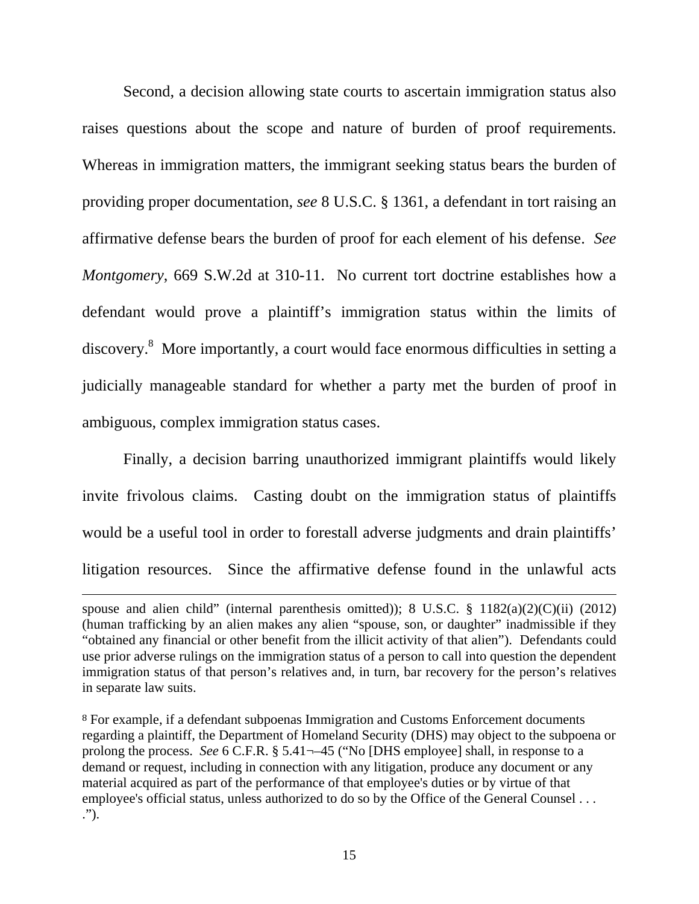Second, a decision allowing state courts to ascertain immigration status also raises questions about the scope and nature of burden of proof requirements. Whereas in immigration matters, the immigrant seeking status bears the burden of providing proper documentation, *see* 8 U.S.C. § 1361, a defendant in tort raising an affirmative defense bears the burden of proof for each element of his defense. *See Montgomery*, 669 S.W.2d at 310-11. No current tort doctrine establishes how a defendant would prove a plaintiff's immigration status within the limits of discovery.<sup>8</sup> More importantly, a court would face enormous difficulties in setting a judicially manageable standard for whether a party met the burden of proof in ambiguous, complex immigration status cases.

Finally, a decision barring unauthorized immigrant plaintiffs would likely invite frivolous claims. Casting doubt on the immigration status of plaintiffs would be a useful tool in order to forestall adverse judgments and drain plaintiffs' litigation resources. Since the affirmative defense found in the unlawful acts

<u> 1989 - Andrea San Andrea San Andrea San Andrea San Andrea San Andrea San Andrea San Andrea San Andrea San An</u>

spouse and alien child" (internal parenthesis omitted)); 8 U.S.C. § 1182(a)(2)(C)(ii) (2012) (human trafficking by an alien makes any alien "spouse, son, or daughter" inadmissible if they "obtained any financial or other benefit from the illicit activity of that alien"). Defendants could use prior adverse rulings on the immigration status of a person to call into question the dependent immigration status of that person's relatives and, in turn, bar recovery for the person's relatives in separate law suits.

<sup>8</sup> For example, if a defendant subpoenas Immigration and Customs Enforcement documents regarding a plaintiff, the Department of Homeland Security (DHS) may object to the subpoena or prolong the process. *See* 6 C.F.R. § 5.41¬-45 ("No [DHS employee] shall, in response to a demand or request, including in connection with any litigation, produce any document or any material acquired as part of the performance of that employee's duties or by virtue of that employee's official status, unless authorized to do so by the Office of the General Counsel . . . .").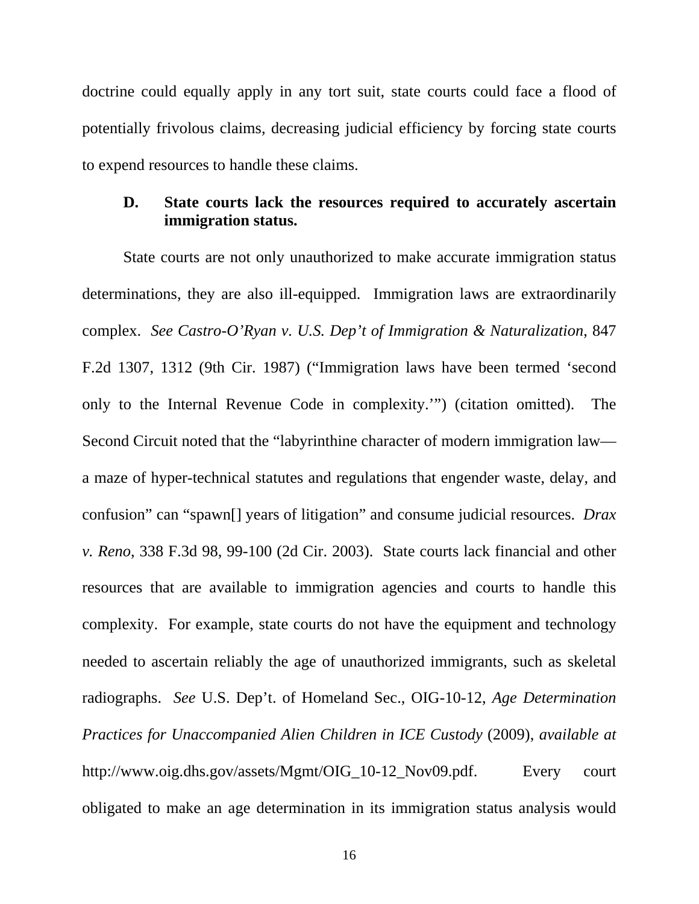doctrine could equally apply in any tort suit, state courts could face a flood of potentially frivolous claims, decreasing judicial efficiency by forcing state courts to expend resources to handle these claims.

#### **D. State courts lack the resources required to accurately ascertain immigration status.**

State courts are not only unauthorized to make accurate immigration status determinations, they are also ill-equipped. Immigration laws are extraordinarily complex. *See Castro-O'Ryan v. U.S. Dep't of Immigration & Naturalization*, 847 F.2d 1307, 1312 (9th Cir. 1987) ("Immigration laws have been termed 'second only to the Internal Revenue Code in complexity.'") (citation omitted). The Second Circuit noted that the "labyrinthine character of modern immigration law a maze of hyper-technical statutes and regulations that engender waste, delay, and confusion" can "spawn[] years of litigation" and consume judicial resources. *Drax v. Reno*, 338 F.3d 98, 99-100 (2d Cir. 2003). State courts lack financial and other resources that are available to immigration agencies and courts to handle this complexity. For example, state courts do not have the equipment and technology needed to ascertain reliably the age of unauthorized immigrants, such as skeletal radiographs. *See* U.S. Dep't. of Homeland Sec., OIG-10-12, *Age Determination Practices for Unaccompanied Alien Children in ICE Custody* (2009), *available at* http://www.oig.dhs.gov/assets/Mgmt/OIG\_10-12\_Nov09.pdf. Every court obligated to make an age determination in its immigration status analysis would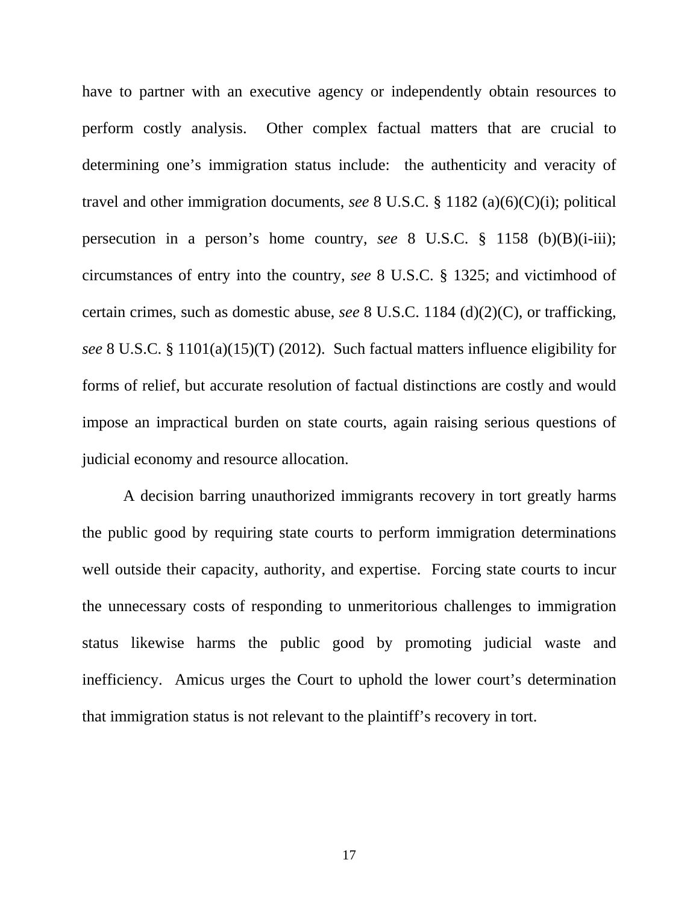have to partner with an executive agency or independently obtain resources to perform costly analysis. Other complex factual matters that are crucial to determining one's immigration status include: the authenticity and veracity of travel and other immigration documents, *see* 8 U.S.C. § 1182 (a)(6)(C)(i); political persecution in a person's home country, *see* 8 U.S.C. § 1158 (b)(B)(i-iii); circumstances of entry into the country, *see* 8 U.S.C. § 1325; and victimhood of certain crimes, such as domestic abuse, *see* 8 U.S.C. 1184 (d)(2)(C), or trafficking, *see* 8 U.S.C. § 1101(a)(15)(T) (2012). Such factual matters influence eligibility for forms of relief, but accurate resolution of factual distinctions are costly and would impose an impractical burden on state courts, again raising serious questions of judicial economy and resource allocation.

A decision barring unauthorized immigrants recovery in tort greatly harms the public good by requiring state courts to perform immigration determinations well outside their capacity, authority, and expertise. Forcing state courts to incur the unnecessary costs of responding to unmeritorious challenges to immigration status likewise harms the public good by promoting judicial waste and inefficiency. Amicus urges the Court to uphold the lower court's determination that immigration status is not relevant to the plaintiff's recovery in tort.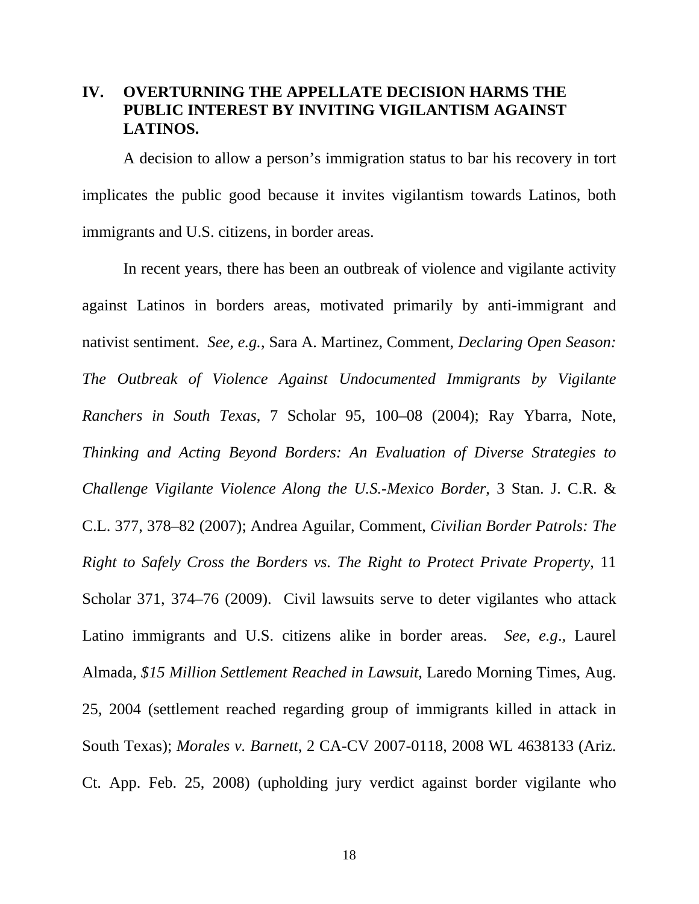# **IV. OVERTURNING THE APPELLATE DECISION HARMS THE PUBLIC INTEREST BY INVITING VIGILANTISM AGAINST LATINOS.**

A decision to allow a person's immigration status to bar his recovery in tort implicates the public good because it invites vigilantism towards Latinos, both immigrants and U.S. citizens, in border areas.

In recent years, there has been an outbreak of violence and vigilante activity against Latinos in borders areas, motivated primarily by anti-immigrant and nativist sentiment. *See, e.g.*, Sara A. Martinez, Comment, *Declaring Open Season: The Outbreak of Violence Against Undocumented Immigrants by Vigilante Ranchers in South Texas*, 7 Scholar 95, 100–08 (2004); Ray Ybarra, Note, *Thinking and Acting Beyond Borders: An Evaluation of Diverse Strategies to Challenge Vigilante Violence Along the U.S.-Mexico Border*, 3 Stan. J. C.R. & C.L. 377, 378–82 (2007); Andrea Aguilar, Comment, *Civilian Border Patrols: The Right to Safely Cross the Borders vs. The Right to Protect Private Property*, 11 Scholar 371, 374–76 (2009). Civil lawsuits serve to deter vigilantes who attack Latino immigrants and U.S. citizens alike in border areas. *See, e.g*.*,* Laurel Almada, *\$15 Million Settlement Reached in Lawsuit*, Laredo Morning Times, Aug. 25, 2004 (settlement reached regarding group of immigrants killed in attack in South Texas); *Morales v. Barnett*, 2 CA-CV 2007-0118, 2008 WL 4638133 (Ariz. Ct. App. Feb. 25, 2008) (upholding jury verdict against border vigilante who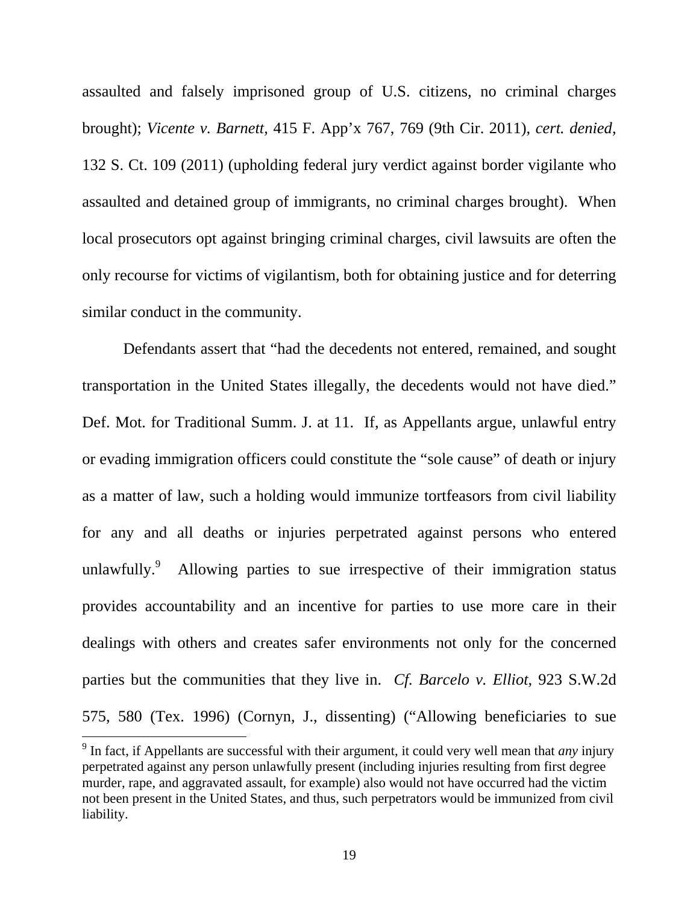assaulted and falsely imprisoned group of U.S. citizens, no criminal charges brought); *Vicente v. Barnett*, 415 F. App'x 767, 769 (9th Cir. 2011), *cert. denied*, 132 S. Ct. 109 (2011) (upholding federal jury verdict against border vigilante who assaulted and detained group of immigrants, no criminal charges brought). When local prosecutors opt against bringing criminal charges, civil lawsuits are often the only recourse for victims of vigilantism, both for obtaining justice and for deterring similar conduct in the community.

Defendants assert that "had the decedents not entered, remained, and sought transportation in the United States illegally, the decedents would not have died." Def. Mot. for Traditional Summ. J. at 11. If, as Appellants argue, unlawful entry or evading immigration officers could constitute the "sole cause" of death or injury as a matter of law, such a holding would immunize tortfeasors from civil liability for any and all deaths or injuries perpetrated against persons who entered unlawfully. $\degree$  Allowing parties to sue irrespective of their immigration status provides accountability and an incentive for parties to use more care in their dealings with others and creates safer environments not only for the concerned parties but the communities that they live in. *Cf. Barcelo v. Elliot*, 923 S.W.2d 575, 580 (Tex. 1996) (Cornyn, J., dissenting) ("Allowing beneficiaries to sue

 9 In fact, if Appellants are successful with their argument, it could very well mean that *any* injury perpetrated against any person unlawfully present (including injuries resulting from first degree murder, rape, and aggravated assault, for example) also would not have occurred had the victim not been present in the United States, and thus, such perpetrators would be immunized from civil liability.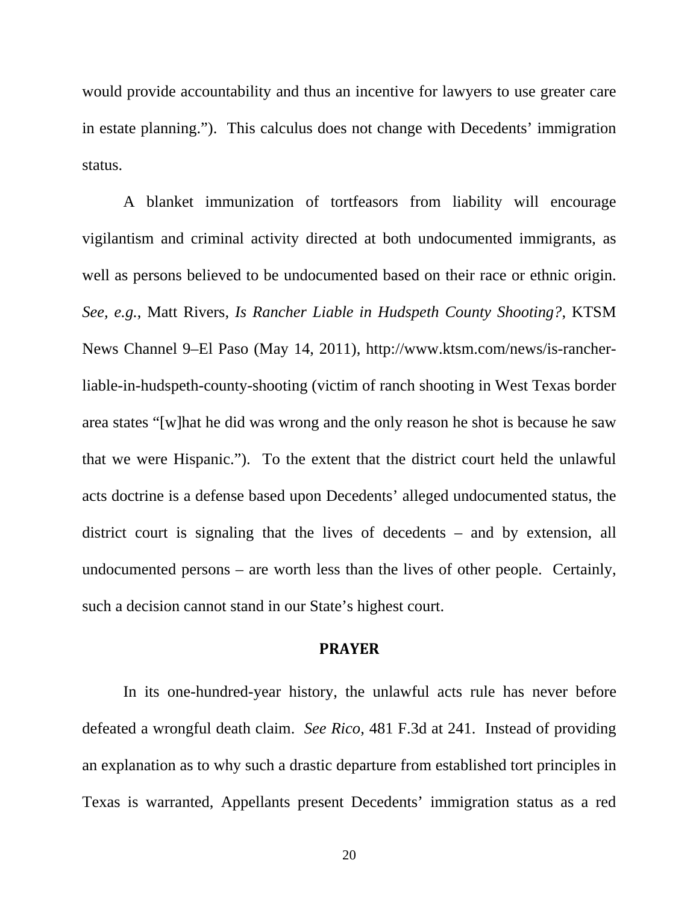would provide accountability and thus an incentive for lawyers to use greater care in estate planning."). This calculus does not change with Decedents' immigration status.

A blanket immunization of tortfeasors from liability will encourage vigilantism and criminal activity directed at both undocumented immigrants, as well as persons believed to be undocumented based on their race or ethnic origin. *See, e.g.*, Matt Rivers, *Is Rancher Liable in Hudspeth County Shooting?*, KTSM News Channel 9–El Paso (May 14, 2011), http://www.ktsm.com/news/is-rancherliable-in-hudspeth-county-shooting (victim of ranch shooting in West Texas border area states "[w]hat he did was wrong and the only reason he shot is because he saw that we were Hispanic."). To the extent that the district court held the unlawful acts doctrine is a defense based upon Decedents' alleged undocumented status, the district court is signaling that the lives of decedents – and by extension, all undocumented persons – are worth less than the lives of other people. Certainly, such a decision cannot stand in our State's highest court.

#### **PRAYER**

 In its one-hundred-year history, the unlawful acts rule has never before defeated a wrongful death claim. *See Rico*, 481 F.3d at 241. Instead of providing an explanation as to why such a drastic departure from established tort principles in Texas is warranted, Appellants present Decedents' immigration status as a red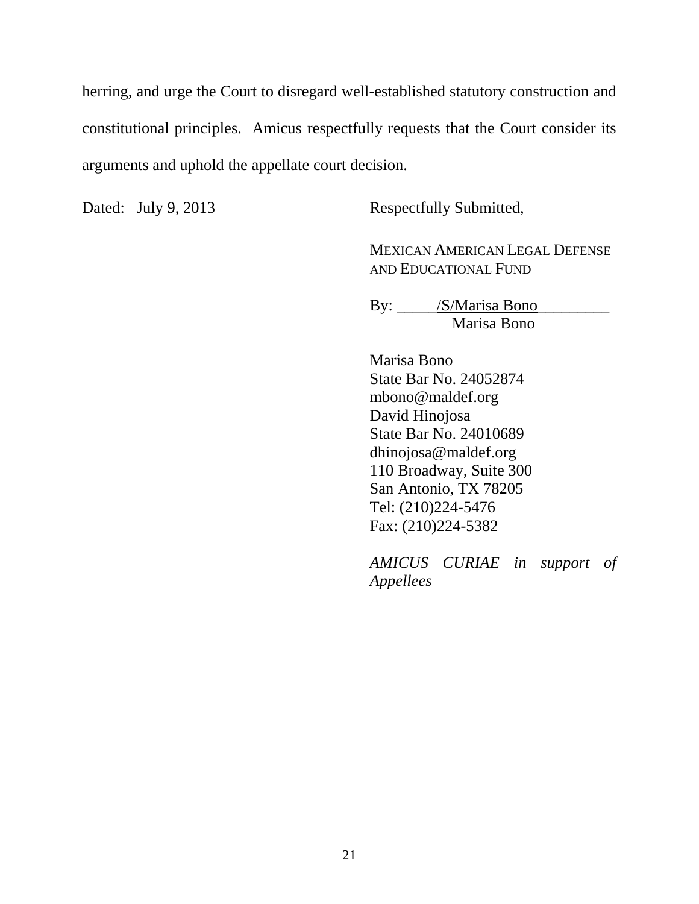herring, and urge the Court to disregard well-established statutory construction and constitutional principles. Amicus respectfully requests that the Court consider its arguments and uphold the appellate court decision.

Dated: July 9, 2013 Respectfully Submitted,

MEXICAN AMERICAN LEGAL DEFENSE AND EDUCATIONAL FUND

By: \_\_\_\_\_/S/Marisa Bono\_\_\_\_\_\_\_\_\_ Marisa Bono

Marisa Bono State Bar No. 24052874 mbono@maldef.org David Hinojosa State Bar No. 24010689 dhinojosa@maldef.org 110 Broadway, Suite 300 San Antonio, TX 78205 Tel: (210)224-5476 Fax: (210)224-5382

*AMICUS CURIAE in support of Appellees*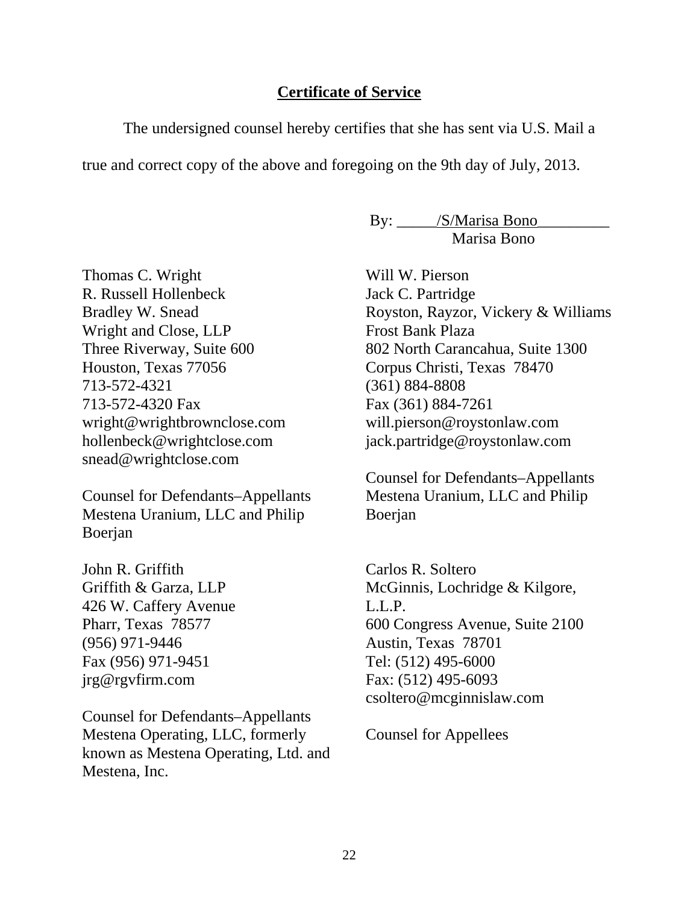#### **Certificate of Service**

The undersigned counsel hereby certifies that she has sent via U.S. Mail a

true and correct copy of the above and foregoing on the 9th day of July, 2013.

By: \_\_\_\_\_\_/S/Marisa Bono\_ Marisa Bono

Thomas C. Wright R. Russell Hollenbeck Bradley W. Snead Wright and Close, LLP Three Riverway, Suite 600 Houston, Texas 77056 713-572-4321 713-572-4320 Fax wright@wrightbrownclose.com hollenbeck@wrightclose.com snead@wrightclose.com

Counsel for Defendants–Appellants Mestena Uranium, LLC and Philip Boerjan

John R. Griffith Griffith & Garza, LLP 426 W. Caffery Avenue Pharr, Texas 78577 (956) 971-9446 Fax (956) 971-9451 jrg@rgvfirm.com

Counsel for Defendants–Appellants Mestena Operating, LLC, formerly known as Mestena Operating, Ltd. and Mestena, Inc.

 Will W. Pierson Jack C. Partridge Royston, Rayzor, Vickery & Williams Frost Bank Plaza 802 North Carancahua, Suite 1300 Corpus Christi, Texas 78470 (361) 884-8808 Fax (361) 884-7261 will.pierson@roystonlaw.com jack.partridge@roystonlaw.com

Counsel for Defendants–Appellants Mestena Uranium, LLC and Philip Boerjan

 Carlos R. Soltero McGinnis, Lochridge & Kilgore, L.L.P. 600 Congress Avenue, Suite 2100 Austin, Texas 78701 Tel: (512) 495-6000 Fax: (512) 495-6093 csoltero@mcginnislaw.com

Counsel for Appellees